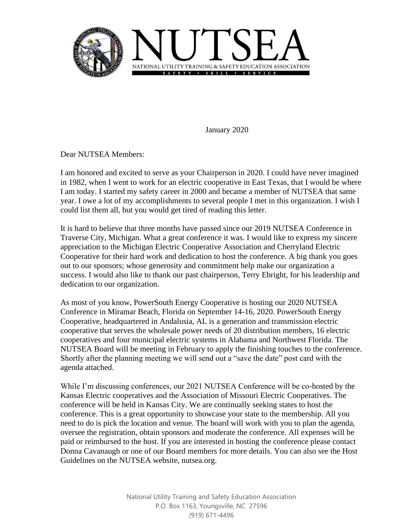

January 2020

Dear NUTSEA Members:

I am honored and excited to serve as your Chairperson in 2020. I could have never imagined in 1982, when I went to work for an electric cooperative in East Texas, that I would be where I am today. I started my safety career in 2000 and became a member of NUTSEA that same year. I owe a lot of my accomplishments to several people I met in this organization. I wish I could list them all, but you would get tired of reading this letter.

It is hard to believe that three months have passed since our 2019 NUTSEA Conference in Traverse City, Michigan. What a great conference it was. I would like to express my sincere appreciation to the Michigan Electric Cooperative Association and Cherryland Electric Cooperative for their hard work and dedication to host the conference. A big thank you goes out to our sponsors; whose generosity and commitment help make our organization a success. I would also like to thank our past chairperson, Terry Ebright, for his leadership and dedication to our organization.

As most of you know, PowerSouth Energy Cooperative is hosting our 2020 NUTSEA Conference in Miramar Beach, Florida on September 14-16, 2020. PowerSouth Energy Cooperative, headquartered in Andalusia, AL is a generation and transmission electric cooperative that serves the wholesale power needs of 20 distribution members, 16 electric cooperatives and four municipal electric systems in Alabama and Northwest Florida. The NUTSEA Board will be meeting in February to apply the finishing touches to the conference. Shortly after the planning meeting we will send out a "save the date" post card with the agenda attached.

While I'm discussing conferences, our 2021 NUTSEA Conference will be co-hosted by the Kansas Electric cooperatives and the Association of Missouri Electric Cooperatives. The conference will be held in Kansas City. We are continually seeking states to host the conference. This is a great opportunity to showcase your state to the membership. All you need to do is pick the location and venue. The board will work with you to plan the agenda, oversee the registration, obtain sponsors and moderate the conference. All expenses will be paid or reimbursed to the host. If you are interested in hosting the conference please contact Donna Cavanaugh or one of our Board members for more details. You can also see the Host Guidelines on the NUTSEA website, nutsea.org.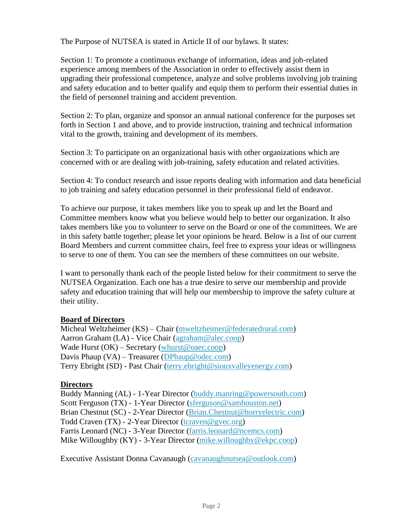The Purpose of NUTSEA is stated in Article II of our bylaws. It states:

Section 1: To promote a continuous exchange of information, ideas and job-related experience among members of the Association in order to effectively assist them in upgrading their professional competence, analyze and solve problems involving job training and safety education and to better qualify and equip them to perform their essential duties in the field of personnel training and accident prevention.

Section 2: To plan, organize and sponsor an annual national conference for the purposes set forth in Section 1 and above, and to provide instruction, training and technical information vital to the growth, training and development of its members.

Section 3: To participate on an organizational basis with other organizations which are concerned with or are dealing with job-training, safety education and related activities.

Section 4: To conduct research and issue reports dealing with information and data beneficial to job training and safety education personnel in their professional field of endeavor.

To achieve our purpose, it takes members like you to speak up and let the Board and Committee members know what you believe would help to better our organization. It also takes members like you to volunteer to serve on the Board or one of the committees. We are in this safety battle together; please let your opinions be heard. Below is a list of our current Board Members and current committee chairs, feel free to express your ideas or willingness to serve to one of them. You can see the members of these committees on our website.

I want to personally thank each of the people listed below for their commitment to serve the NUTSEA Organization. Each one has a true desire to serve our membership and provide safety and education training that will help our membership to improve the safety culture at their utility.

## **Board of Directors**

Micheal Weltzheimer (KS) – Chair [\(mweltzheimer@federatedrural.com\)](mailto:mweltzheimer@federatedrural.com) Aarron Graham (LA) - Vice Chair [\(agraham@alec.coop\)](mailto:agraham@alec.coop) Wade Hurst  $(OK)$  – Secretary (whurst @oaec.coop) Davis Phaup (VA) – Treasurer [\(DPhaup@odec.com\)](mailto:DPhaup@odec.com) Terry Ebright (SD) - Past Chair [\(terry.ebright@siouxvalleyenergy.com\)](mailto:terry.ebright@siouxvalleyenergy.com)

## **Directors**

Buddy Manning (AL) - 1-Year Director [\(buddy.manring@powersouth.com\)](mailto:buddy.manring@powersouth.com) Scott Ferguson (TX) - 1-Year Director [\(sferguson@samhouston.net\)](mailto:sferguson@samhouston.net) Brian Chestnut (SC) - 2-Year Director [\(Brian.Chestnut@horryelectric.com\)](mailto:Brian.Chestnut@horryelectric.com) Todd Craven (TX) - 2-Year Director [\(tcraven@gvec.org\)](mailto:tcraven@gvec.org) Farris Leonard (NC) - 3-Year Director [\(farris.leonard@ncemcs.com\)](mailto:farris.leonard@ncemcs.com) Mike Willoughby (KY) - 3-Year Director [\(mike.willoughby@ekpc.coop\)](mailto:mike.willoughby@ekpc.coop)

Executive Assistant Donna Cavanaugh [\(cavanaughnutsea@outlook.com\)](mailto:cavanaughnutsea@outlook.com)